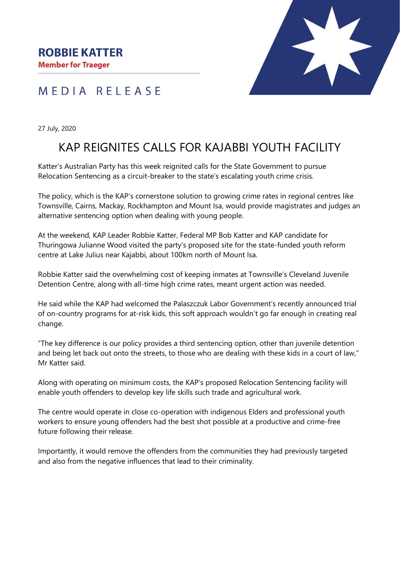### MEDIA RELEASE

27 July, 2020

# KAP REIGNITES CALLS FOR KAJABBI YOUTH FACILITY

Katter's Australian Party has this week reignited calls for the State Government to pursue Relocation Sentencing as a circuit-breaker to the state's escalating youth crime crisis.

The policy, which is the KAP's cornerstone solution to growing crime rates in regional centres like Townsville, Cairns, Mackay, Rockhampton and Mount Isa, would provide magistrates and judges an alternative sentencing option when dealing with young people.

At the weekend, KAP Leader Robbie Katter, Federal MP Bob Katter and KAP candidate for Thuringowa Julianne Wood visited the party's proposed site for the state-funded youth reform centre at Lake Julius near Kajabbi, about 100km north of Mount Isa.

Robbie Katter said the overwhelming cost of keeping inmates at Townsville's Cleveland Juvenile Detention Centre, along with all-time high crime rates, meant urgent action was needed.

He said while the KAP had welcomed the Palaszczuk Labor Government's recently announced trial of on-country programs for at-risk kids, this soft approach wouldn't go far enough in creating real change.

"The key difference is our policy provides a third sentencing option, other than juvenile detention and being let back out onto the streets, to those who are dealing with these kids in a court of law," Mr Katter said.

Along with operating on minimum costs, the KAP's proposed Relocation Sentencing facility will enable youth offenders to develop key life skills such trade and agricultural work.

The centre would operate in close co-operation with indigenous Elders and professional youth workers to ensure young offenders had the best shot possible at a productive and crime-free future following their release.

Importantly, it would remove the offenders from the communities they had previously targeted and also from the negative influences that lead to their criminality.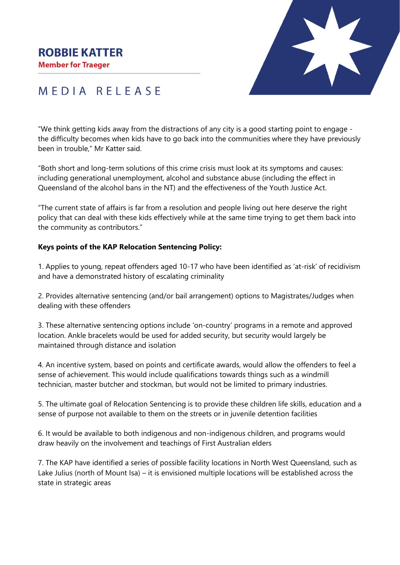#### **ROBBIE KATTER**

**Member for Traeger** 



## MEDIA RELEASE

"We think getting kids away from the distractions of any city is a good starting point to engage the difficulty becomes when kids have to go back into the communities where they have previously been in trouble," Mr Katter said.

"Both short and long-term solutions of this crime crisis must look at its symptoms and causes: including generational unemployment, alcohol and substance abuse (including the effect in Queensland of the alcohol bans in the NT) and the effectiveness of the Youth Justice Act.

"The current state of affairs is far from a resolution and people living out here deserve the right policy that can deal with these kids effectively while at the same time trying to get them back into the community as contributors."

#### **Keys points of the KAP Relocation Sentencing Policy:**

1. Applies to young, repeat offenders aged 10-17 who have been identified as 'at-risk' of recidivism and have a demonstrated history of escalating criminality

2. Provides alternative sentencing (and/or bail arrangement) options to Magistrates/Judges when dealing with these offenders

3. These alternative sentencing options include 'on-country' programs in a remote and approved location. Ankle bracelets would be used for added security, but security would largely be maintained through distance and isolation

4. An incentive system, based on points and certificate awards, would allow the offenders to feel a sense of achievement. This would include qualifications towards things such as a windmill technician, master butcher and stockman, but would not be limited to primary industries.

5. The ultimate goal of Relocation Sentencing is to provide these children life skills, education and a sense of purpose not available to them on the streets or in juvenile detention facilities

6. It would be available to both indigenous and non-indigenous children, and programs would draw heavily on the involvement and teachings of First Australian elders

7. The KAP have identified a series of possible facility locations in North West Queensland, such as Lake Julius (north of Mount Isa) – it is envisioned multiple locations will be established across the state in strategic areas